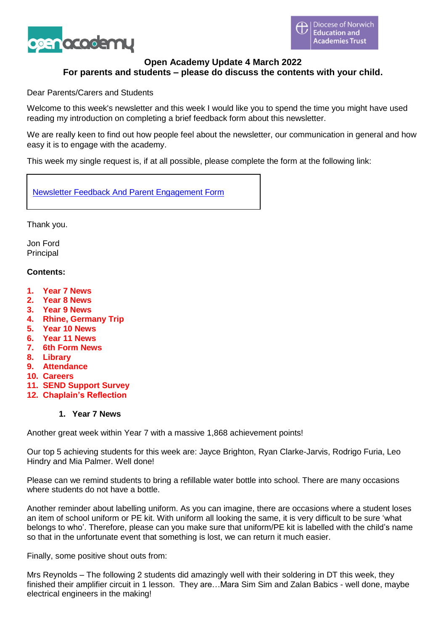

## **Open Academy Update 4 March 2022 For parents and students – please do discuss the contents with your child.**

Dear Parents/Carers and Students

Welcome to this week's newsletter and this week I would like you to spend the time you might have used reading my introduction on completing a brief feedback form about this newsletter.

We are really keen to find out how people feel about the newsletter, our communication in general and how easy it is to engage with the academy.

This week my single request is, if at all possible, please complete the form at the following link:

Newsletter Feedback And Parent [Engagement](https://forms.office.com/Pages/ResponsePage.aspx?id=W8ZO2qGEd0-_AYQqaPv6mXiL78qjqohLgCyMiqfkAlxUOE9HQ01FMUwxMDNOMFkxUFpDRVg3TVlKMy4u) Form

Thank you.

Jon Ford Principal

#### **Contents:**

- **1. Year 7 News**
- **2. Year 8 News**
- **3. Year 9 News**
- **4. Rhine, Germany Trip**
- **5. Year 10 News**
- **6. Year 11 News**
- **7. 6th Form News**
- **8. Library**
- **9. Attendance**
- **10. Careers**
- **11. SEND Support Survey**
- **12. Chaplain's Reflection**

## **1. Year 7 News**

Another great week within Year 7 with a massive 1,868 achievement points!

Our top 5 achieving students for this week are: Jayce Brighton, Ryan Clarke-Jarvis, Rodrigo Furia, Leo Hindry and Mia Palmer. Well done!

Please can we remind students to bring a refillable water bottle into school. There are many occasions where students do not have a bottle.

Another reminder about labelling uniform. As you can imagine, there are occasions where a student loses an item of school uniform or PE kit. With uniform all looking the same, it is very difficult to be sure 'what belongs to who'. Therefore, please can you make sure that uniform/PE kit is labelled with the child's name so that in the unfortunate event that something is lost, we can return it much easier.

Finally, some positive shout outs from:

Mrs Reynolds – The following 2 students did amazingly well with their soldering in DT this week, they finished their amplifier circuit in 1 lesson. They are…Mara Sim Sim and Zalan Babics - well done, maybe electrical engineers in the making!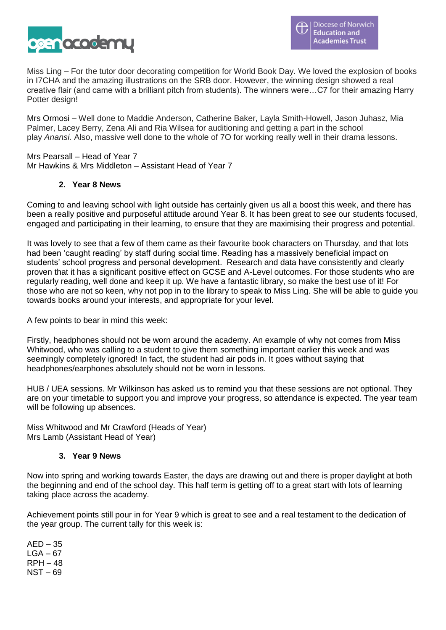

Miss Ling – For the tutor door decorating competition for World Book Day. We loved the explosion of books in I7CHA and the amazing illustrations on the SRB door. However, the winning design showed a real creative flair (and came with a brilliant pitch from students). The winners were…C7 for their amazing Harry Potter design!

Mrs Ormosi – Well done to Maddie Anderson, Catherine Baker, Layla Smith-Howell, Jason Juhasz, Mia Palmer, Lacey Berry, Zena Ali and Ria Wilsea for auditioning and getting a part in the school play *Anansi.* Also, massive well done to the whole of 7O for working really well in their drama lessons.

Mrs Pearsall – Head of Year 7 Mr Hawkins & Mrs Middleton – Assistant Head of Year 7

## **2. Year 8 News**

Coming to and leaving school with light outside has certainly given us all a boost this week, and there has been a really positive and purposeful attitude around Year 8. It has been great to see our students focused, engaged and participating in their learning, to ensure that they are maximising their progress and potential.

It was lovely to see that a few of them came as their favourite book characters on Thursday, and that lots had been 'caught reading' by staff during social time. Reading has a massively beneficial impact on students' school progress and personal development. Research and data have consistently and clearly proven that it has a significant positive effect on GCSE and A-Level outcomes. For those students who are regularly reading, well done and keep it up. We have a fantastic library, so make the best use of it! For those who are not so keen, why not pop in to the library to speak to Miss Ling. She will be able to guide you towards books around your interests, and appropriate for your level.

A few points to bear in mind this week:

Firstly, headphones should not be worn around the academy. An example of why not comes from Miss Whitwood, who was calling to a student to give them something important earlier this week and was seemingly completely ignored! In fact, the student had air pods in. It goes without saying that headphones/earphones absolutely should not be worn in lessons.

HUB / UEA sessions. Mr Wilkinson has asked us to remind you that these sessions are not optional. They are on your timetable to support you and improve your progress, so attendance is expected. The year team will be following up absences.

Miss Whitwood and Mr Crawford (Heads of Year) Mrs Lamb (Assistant Head of Year)

## **3. Year 9 News**

Now into spring and working towards Easter, the days are drawing out and there is proper daylight at both the beginning and end of the school day. This half term is getting off to a great start with lots of learning taking place across the academy.

Achievement points still pour in for Year 9 which is great to see and a real testament to the dedication of the year group. The current tally for this week is:

 $AED - 35$  $LGA - 67$ RPH – 48 NST – 69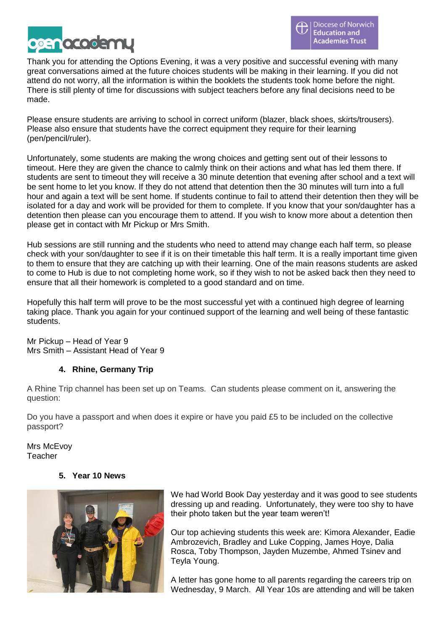

Thank you for attending the Options Evening, it was a very positive and successful evening with many great conversations aimed at the future choices students will be making in their learning. If you did not attend do not worry, all the information is within the booklets the students took home before the night. There is still plenty of time for discussions with subject teachers before any final decisions need to be made.

Please ensure students are arriving to school in correct uniform (blazer, black shoes, skirts/trousers). Please also ensure that students have the correct equipment they require for their learning (pen/pencil/ruler).

Unfortunately, some students are making the wrong choices and getting sent out of their lessons to timeout. Here they are given the chance to calmly think on their actions and what has led them there. If students are sent to timeout they will receive a 30 minute detention that evening after school and a text will be sent home to let you know. If they do not attend that detention then the 30 minutes will turn into a full hour and again a text will be sent home. If students continue to fail to attend their detention then they will be isolated for a day and work will be provided for them to complete. If you know that your son/daughter has a detention then please can you encourage them to attend. If you wish to know more about a detention then please get in contact with Mr Pickup or Mrs Smith.

Hub sessions are still running and the students who need to attend may change each half term, so please check with your son/daughter to see if it is on their timetable this half term. It is a really important time given to them to ensure that they are catching up with their learning. One of the main reasons students are asked to come to Hub is due to not completing home work, so if they wish to not be asked back then they need to ensure that all their homework is completed to a good standard and on time.

Hopefully this half term will prove to be the most successful yet with a continued high degree of learning taking place. Thank you again for your continued support of the learning and well being of these fantastic students.

Mr Pickup – Head of Year 9 Mrs Smith – Assistant Head of Year 9

# **4. Rhine, Germany Trip**

A Rhine Trip channel has been set up on Teams. Can students please comment on it, answering the question:

Do you have a passport and when does it expire or have you paid £5 to be included on the collective passport?

Mrs McEvoy Teacher

# **5. Year 10 News**



We had World Book Day yesterday and it was good to see students dressing up and reading. Unfortunately, they were too shy to have their photo taken but the year team weren't!

Our top achieving students this week are: Kimora Alexander, Eadie Ambrozevich, Bradley and Luke Copping, James Hoye, Dalia Rosca, Toby Thompson, Jayden Muzembe, Ahmed Tsinev and Teyla Young.

A letter has gone home to all parents regarding the careers trip on Wednesday, 9 March. All Year 10s are attending and will be taken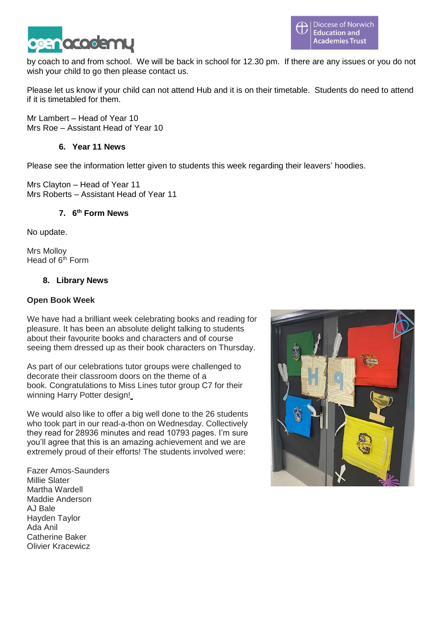

by coach to and from school. We will be back in school for 12.30 pm. If there are any issues or you do not wish your child to go then please contact us.

Please let us know if your child can not attend Hub and it is on their timetable. Students do need to attend if it is timetabled for them.

Mr Lambert – Head of Year 10 Mrs Roe – Assistant Head of Year 10

## **6. Year 11 News**

Please see the information letter given to students this week regarding their leavers' hoodies.

Mrs Clayton – Head of Year 11 Mrs Roberts – Assistant Head of Year 11

## **7. 6 th Form News**

No update.

Mrs Molloy Head of  $6<sup>th</sup>$  Form

## **8. Library News**

## **Open Book Week**

We have had a brilliant week celebrating books and reading for pleasure. It has been an absolute delight talking to students about their favourite books and characters and of course seeing them dressed up as their book characters on Thursday.

As part of our celebrations tutor groups were challenged to decorate their classroom doors on the theme of a book. Congratulations to Miss Lines tutor group C7 for their winning Harry Potter design!

We would also like to offer a big well done to the 26 students who took part in our read-a-thon on Wednesday. Collectively they read for 28936 minutes and read 10793 pages. I'm sure you'll agree that this is an amazing achievement and we are extremely proud of their efforts! The students involved were:

Fazer Amos-Saunders Millie Slater Martha Wardell Maddie Anderson AJ Bale Hayden Taylor Ada Anil Catherine Baker Olivier Kracewicz

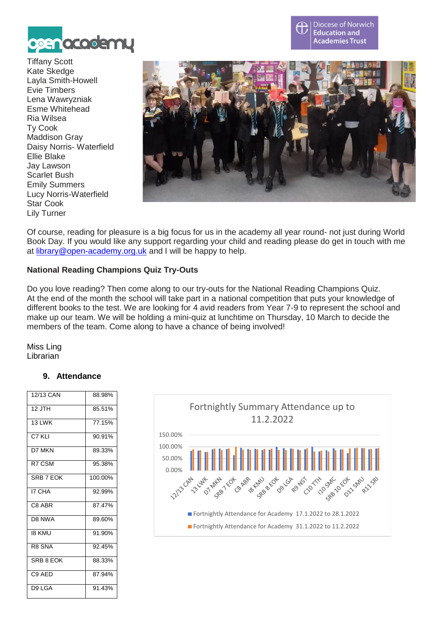

Tiffany Scott Kate Skedge Layla Smith-Howell Evie Timbers Lena Wawryzniak Esme Whitehead Ria Wilsea Ty Cook Maddison Gray Daisy Norris- Waterfield Ellie Blake Jay Lawson Scarlet Bush Emily Summers Lucy Norris-Waterfield Star Cook Lily Turner



Diocese of Norwich **Education and** 

**Academies Trust** 

Of course, reading for pleasure is a big focus for us in the academy all year round- not just during World Book Day. If you would like any support regarding your child and reading please do get in touch with me at [library@open-academy.org.uk](mailto:library@open-academy.org.uk) and I will be happy to help.

## **National Reading Champions Quiz Try-Outs**

Do you love reading? Then come along to our try-outs for the National Reading Champions Quiz. At the end of the month the school will take part in a national competition that puts your knowledge of different books to the test. We are looking for 4 avid readers from Year 7-9 to represent the school and make up our team. We will be holding a mini-quiz at lunchtime on Thursday, 10 March to decide the members of the team. Come along to have a chance of being involved!

Miss Ling Librarian

## **9. Attendance**

| 12/13 CAN          | 88.98%  |
|--------------------|---------|
| $12$ JTH           | 85.51%  |
| 13 I WK            | 77.15%  |
| $C7$ KI I          | 90.91%  |
| D7 MKN             | 89.33%  |
| R7 CSM             | 95.38%  |
| SRB 7 FOK          | 100.00% |
| <b>I7 CHA</b>      | 92.99%  |
| C8 ABR             | 87.47%  |
| D8 NWA             | 89.60%  |
| 18 KMU             | 91.90%  |
| R8 SNA             | 92.45%  |
| SRB 8 FOK          | 88.33%  |
| C <sub>9</sub> AFD | 87.94%  |
| D9 LGA             | 91.43%  |

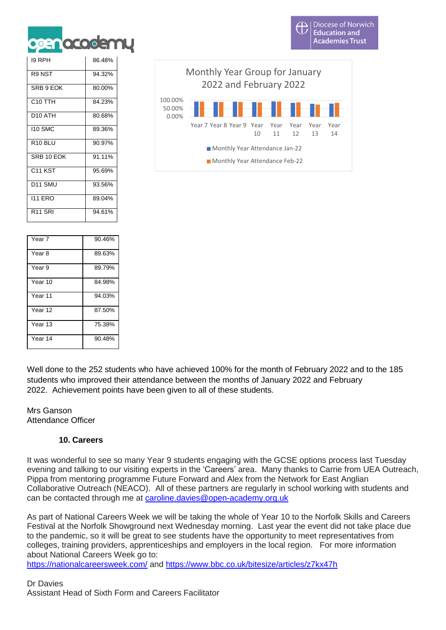

| 19 RPH              | 86.48% |
|---------------------|--------|
| R9 NST              | 94.32% |
| SRB 9 EOK           | 80.00% |
| C <sub>10</sub> TTH | 84.23% |
| D <sub>10</sub> ATH | 80.68% |
| <b>110 SMC</b>      | 89.36% |
| R <sub>10</sub> BLU | 90.97% |
| SRB 10 FOK          | 91.11% |
| C <sub>11</sub> KST | 95.69% |
| D <sub>11</sub> SMU | 93.56% |
| <b>111 ERO</b>      | 89.04% |
| R <sub>11</sub> SRI | 94.61% |

Year 7 90.46% Year 8 89.63% Year 9 89.79% Year 10 84.98% Year 11 94.03% Year 12 87.50% Year 13 75.38% Year 14 90.48%

0.00% 50.00% 100.00% Year 7 Year 8 Year 9 Year 10 Year 11 Year 12 Year 13 Year 14 Monthly Year Group for January 2022 and February 2022 **Monthly Year Attendance Jan-22 Monthly Year Attendance Feb-22** 

Well done to the 252 students who have achieved 100% for the month of February 2022 and to the 185 students who improved their attendance between the months of January 2022 and February 2022. Achievement points have been given to all of these students.

Mrs Ganson Attendance Officer

## **10. Careers**

It was wonderful to see so many Year 9 students engaging with the GCSE options process last Tuesday evening and talking to our visiting experts in the 'Careers' area. Many thanks to Carrie from UEA Outreach, Pippa from mentoring programme Future Forward and Alex from the Network for East Anglian Collaborative Outreach (NEACO). All of these partners are regularly in school working with students and can be contacted through me at [caroline.davies@open-academy.org.uk](mailto:caroline.davies@open-academy.org.uk)

As part of National Careers Week we will be taking the whole of Year 10 to the Norfolk Skills and Careers Festival at the Norfolk Showground next Wednesday morning. Last year the event did not take place due to the pandemic, so it will be great to see students have the opportunity to meet representatives from colleges, training providers, apprenticeships and employers in the local region. For more information about National Careers Week go to:

<https://nationalcareersweek.com/> and <https://www.bbc.co.uk/bitesize/articles/z7kx47h>

Dr Davies Assistant Head of Sixth Form and Careers Facilitator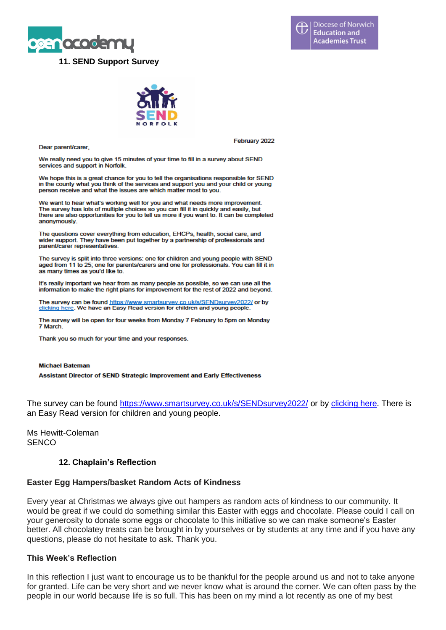



Dear parent/carer,

February 2022

We really need you to give 15 minutes of your time to fill in a survey about SEND services and support in Norfolk.

We hope this is a great chance for you to tell the organisations responsible for SEND in the county what you think of the services and support you and your child or young person receive and what the issues are which matter most to you.

We want to hear what's working well for you and what needs more improvement. The survey has lots of multiple choices so you can fill it in quickly and easily, but<br>there are also opportunities for you to tell us more if you want to. It can be completed anonymously.

The questions cover everything from education, EHCPs, health, social care, and wider support. They have been put together by a partnership of professionals and parent/carer representatives.

The survey is split into three versions: one for children and young people with SEND aged from 11 to 25; one for parents/carers and one for professionals. You can fill it in as many times as you'd like to.

It's really important we hear from as many people as possible, so we can use all the information to make the right plans for improvement for the rest of 2022 and beyond.

The survey can be found https://www.smartsurvey.co.uk/s/SENDsurvey2022/ or by clicking here. We have an Easy Read version for children and young people.

The survey will be open for four weeks from Monday 7 February to 5pm on Monday 7 March

Thank you so much for your time and your responses.

#### **Michael Bateman**

**Assistant Director of SEND Strategic Improvement and Early Effectiveness** 

The survey can be found<https://www.smartsurvey.co.uk/s/SENDsurvey2022/> or by [clicking here.](https://www.smartsurvey.co.uk/s/SENDsurvey2022/) There is an Easy Read version for children and young people.

Ms Hewitt-Coleman **SENCO** 

## **12. Chaplain's Reflection**

#### **Easter Egg Hampers/basket Random Acts of Kindness**

Every year at Christmas we always give out hampers as random acts of kindness to our community. It would be great if we could do something similar this Easter with eggs and chocolate. Please could I call on your generosity to donate some eggs or chocolate to this initiative so we can make someone's Easter better. All chocolatey treats can be brought in by yourselves or by students at any time and if you have any questions, please do not hesitate to ask. Thank you.

#### **This Week's Reflection**

In this reflection I just want to encourage us to be thankful for the people around us and not to take anyone for granted. Life can be very short and we never know what is around the corner. We can often pass by the people in our world because life is so full. This has been on my mind a lot recently as one of my best